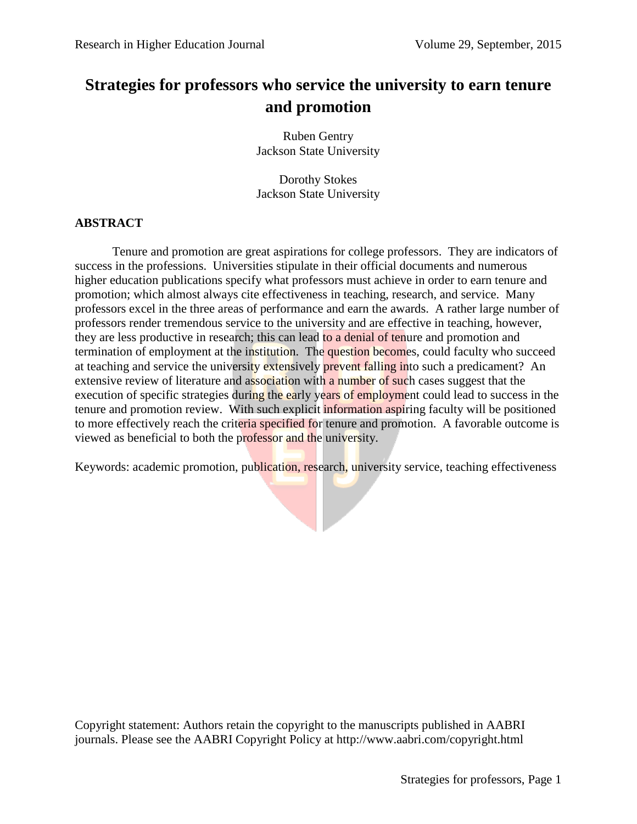# **Strategies for professors who service the university to earn tenure and promotion**

Ruben Gentry Jackson State University

Dorothy Stokes Jackson State University

## **ABSTRACT**

Tenure and promotion are great aspirations for college professors. They are indicators of success in the professions. Universities stipulate in their official documents and numerous higher education publications specify what professors must achieve in order to earn tenure and promotion; which almost always cite effectiveness in teaching, research, and service. Many professors excel in the three areas of performance and earn the awards. A rather large number of professors render tremendous service to the university and are effective in teaching, however, they are less productive in research; this can lead to a denial of tenure and promotion and termination of employment at the institution. The question becomes, could faculty who succeed at teaching and service the university extensively prevent falling into such a predicament? An extensive review of literature and association with a number of such cases suggest that the execution of specific strategies during the early years of employment could lead to success in the tenure and promotion review. With such explicit information aspiring faculty will be positioned to more effectively reach the criteria specified for tenure and promotion. A favorable outcome is viewed as beneficial to both the professor and the university.

Keywords: academic promotion, publication, research, university service, teaching effectiveness

Copyright statement: Authors retain the copyright to the manuscripts published in AABRI journals. Please see the AABRI Copyright Policy at http://www.aabri.com/copyright.html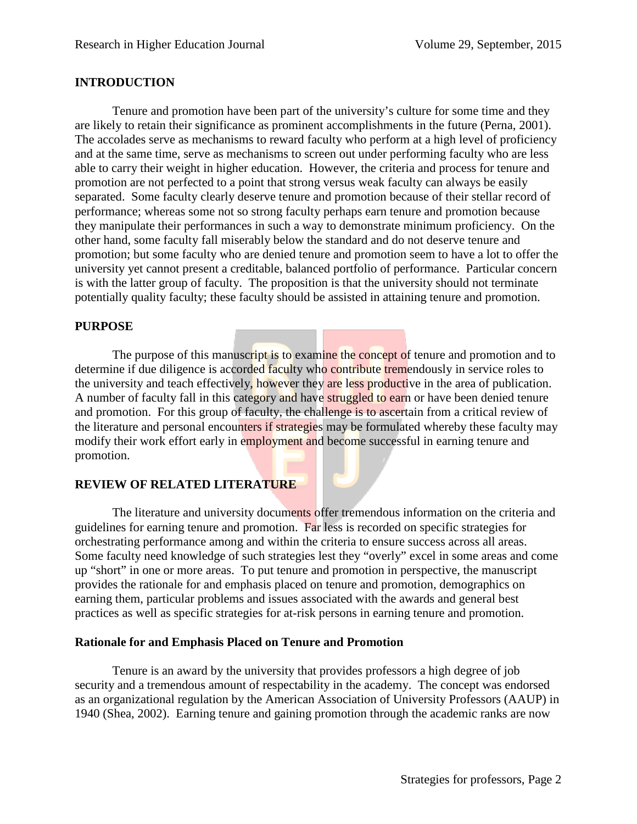## **INTRODUCTION**

Tenure and promotion have been part of the university's culture for some time and they are likely to retain their significance as prominent accomplishments in the future (Perna, 2001). The accolades serve as mechanisms to reward faculty who perform at a high level of proficiency and at the same time, serve as mechanisms to screen out under performing faculty who are less able to carry their weight in higher education. However, the criteria and process for tenure and promotion are not perfected to a point that strong versus weak faculty can always be easily separated. Some faculty clearly deserve tenure and promotion because of their stellar record of performance; whereas some not so strong faculty perhaps earn tenure and promotion because they manipulate their performances in such a way to demonstrate minimum proficiency. On the other hand, some faculty fall miserably below the standard and do not deserve tenure and promotion; but some faculty who are denied tenure and promotion seem to have a lot to offer the university yet cannot present a creditable, balanced portfolio of performance. Particular concern is with the latter group of faculty. The proposition is that the university should not terminate potentially quality faculty; these faculty should be assisted in attaining tenure and promotion.

## **PURPOSE**

The purpose of this manuscript is to examine the concept of tenure and promotion and to determine if due diligence is accorded faculty who contribute tremendously in service roles to the university and teach effectively, however they are less productive in the area of publication. A number of faculty fall in this category and have struggled to earn or have been denied tenure and promotion. For this group of faculty, the challenge is to ascertain from a critical review of the literature and personal encounters if strategies may be formulated whereby these faculty may modify their work effort early in employment and become successful in earning tenure and promotion.

## **REVIEW OF RELATED LITERATURE**

The literature and university documents offer tremendous information on the criteria and guidelines for earning tenure and promotion. Far less is recorded on specific strategies for orchestrating performance among and within the criteria to ensure success across all areas. Some faculty need knowledge of such strategies lest they "overly" excel in some areas and come up "short" in one or more areas. To put tenure and promotion in perspective, the manuscript provides the rationale for and emphasis placed on tenure and promotion, demographics on earning them, particular problems and issues associated with the awards and general best practices as well as specific strategies for at-risk persons in earning tenure and promotion.

## **Rationale for and Emphasis Placed on Tenure and Promotion**

Tenure is an award by the university that provides professors a high degree of job security and a tremendous amount of respectability in the academy. The concept was endorsed as an organizational regulation by the American Association of University Professors (AAUP) in 1940 (Shea, 2002). Earning tenure and gaining promotion through the academic ranks are now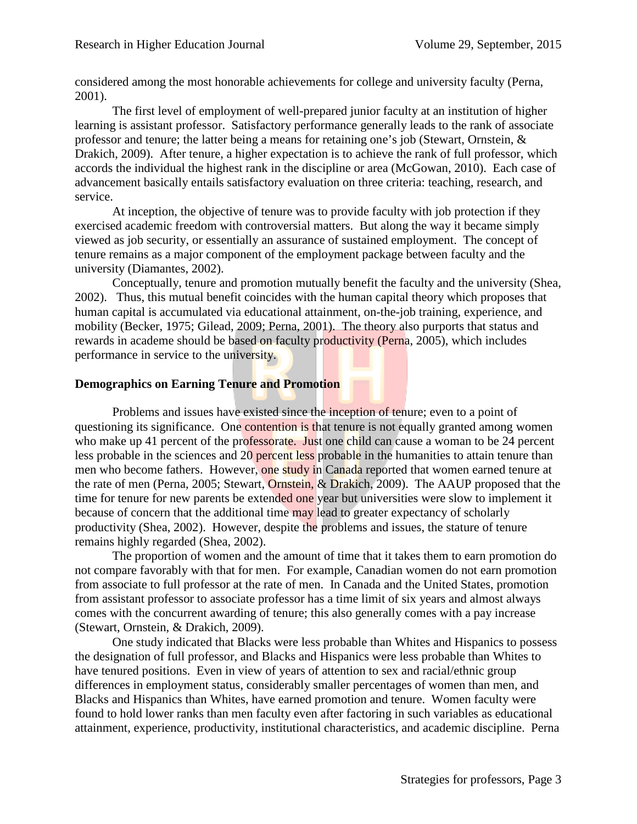considered among the most honorable achievements for college and university faculty (Perna, 2001).

The first level of employment of well-prepared junior faculty at an institution of higher learning is assistant professor. Satisfactory performance generally leads to the rank of associate professor and tenure; the latter being a means for retaining one's job (Stewart, Ornstein, & Drakich, 2009). After tenure, a higher expectation is to achieve the rank of full professor, which accords the individual the highest rank in the discipline or area (McGowan, 2010). Each case of advancement basically entails satisfactory evaluation on three criteria: teaching, research, and service.

At inception, the objective of tenure was to provide faculty with job protection if they exercised academic freedom with controversial matters. But along the way it became simply viewed as job security, or essentially an assurance of sustained employment. The concept of tenure remains as a major component of the employment package between faculty and the university (Diamantes, 2002).

Conceptually, tenure and promotion mutually benefit the faculty and the university (Shea, 2002). Thus, this mutual benefit coincides with the human capital theory which proposes that human capital is accumulated via educational attainment, on-the-job training, experience, and mobility (Becker, 1975; Gilead, 2009; Perna, 2001). The theory also purports that status and rewards in academe should be based on faculty productivity (Perna, 2005), which includes performance in service to the university.

## **Demographics on Earning Tenure and Promotion**

Problems and issues have existed since the inception of tenure; even to a point of questioning its significance. One contention is that tenure is not equally granted among women who make up 41 percent of the professorate. Just one child can cause a woman to be 24 percent less probable in the sciences and 20 percent less probable in the humanities to attain tenure than men who become fathers. However, one study in Canada reported that women earned tenure at the rate of men (Perna, 2005; Stewart, Ornstein, & Drakich, 2009). The AAUP proposed that the time for tenure for new parents be extended one year but universities were slow to implement it because of concern that the additional time may lead to greater expectancy of scholarly productivity (Shea, 2002). However, despite the problems and issues, the stature of tenure remains highly regarded (Shea, 2002).

The proportion of women and the amount of time that it takes them to earn promotion do not compare favorably with that for men. For example, Canadian women do not earn promotion from associate to full professor at the rate of men. In Canada and the United States, promotion from assistant professor to associate professor has a time limit of six years and almost always comes with the concurrent awarding of tenure; this also generally comes with a pay increase (Stewart, Ornstein, & Drakich, 2009).

One study indicated that Blacks were less probable than Whites and Hispanics to possess the designation of full professor, and Blacks and Hispanics were less probable than Whites to have tenured positions. Even in view of years of attention to sex and racial/ethnic group differences in employment status, considerably smaller percentages of women than men, and Blacks and Hispanics than Whites, have earned promotion and tenure. Women faculty were found to hold lower ranks than men faculty even after factoring in such variables as educational attainment, experience, productivity, institutional characteristics, and academic discipline. Perna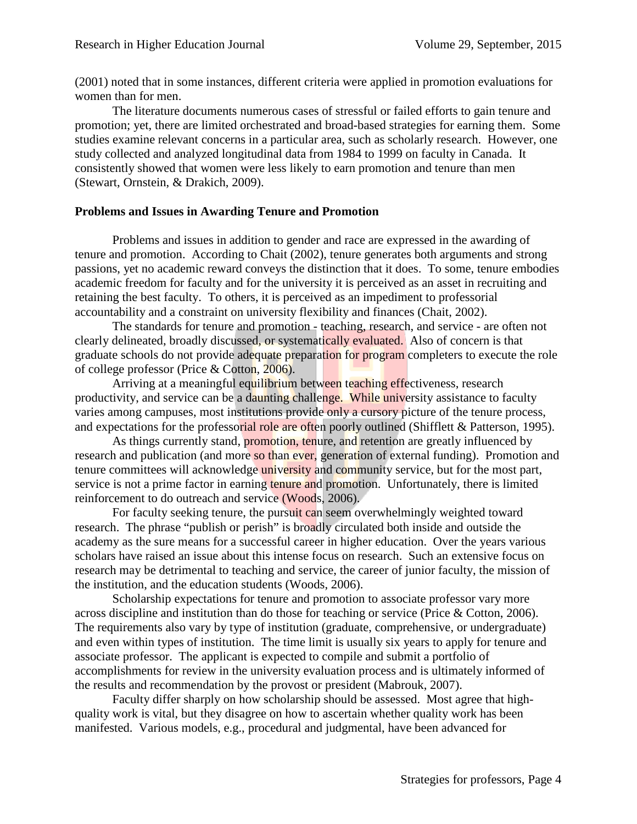(2001) noted that in some instances, different criteria were applied in promotion evaluations for women than for men.

The literature documents numerous cases of stressful or failed efforts to gain tenure and promotion; yet, there are limited orchestrated and broad-based strategies for earning them. Some studies examine relevant concerns in a particular area, such as scholarly research. However, one study collected and analyzed longitudinal data from 1984 to 1999 on faculty in Canada. It consistently showed that women were less likely to earn promotion and tenure than men (Stewart, Ornstein, & Drakich, 2009).

#### **Problems and Issues in Awarding Tenure and Promotion**

Problems and issues in addition to gender and race are expressed in the awarding of tenure and promotion. According to Chait (2002), tenure generates both arguments and strong passions, yet no academic reward conveys the distinction that it does. To some, tenure embodies academic freedom for faculty and for the university it is perceived as an asset in recruiting and retaining the best faculty. To others, it is perceived as an impediment to professorial accountability and a constraint on university flexibility and finances (Chait, 2002).

The standards for tenure and promotion - teaching, research, and service - are often not clearly delineated, broadly discussed, or systematically evaluated. Also of concern is that graduate schools do not provide adequate preparation for program completers to execute the role of college professor (Price & Cotton, 2006).

Arriving at a meaningful equilibrium between teaching effectiveness, research productivity, and service can be a daunting challenge. While university assistance to faculty varies among campuses, most institutions provide only a cursory picture of the tenure process, and expectations for the professorial role are often poorly outlined (Shifflett & Patterson, 1995).

As things currently stand, promotion, tenure, and retention are greatly influenced by research and publication (and more so than ever, generation of external funding). Promotion and tenure committees will acknowledge university and community service, but for the most part, service is not a prime factor in earning tenure and promotion. Unfortunately, there is limited reinforcement to do outreach and service (Woods, 2006).

For faculty seeking tenure, the pursuit can seem overwhelmingly weighted toward research. The phrase "publish or perish" is broadly circulated both inside and outside the academy as the sure means for a successful career in higher education. Over the years various scholars have raised an issue about this intense focus on research. Such an extensive focus on research may be detrimental to teaching and service, the career of junior faculty, the mission of the institution, and the education students (Woods, 2006).

Scholarship expectations for tenure and promotion to associate professor vary more across discipline and institution than do those for teaching or service (Price & Cotton, 2006). The requirements also vary by type of institution (graduate, comprehensive, or undergraduate) and even within types of institution. The time limit is usually six years to apply for tenure and associate professor. The applicant is expected to compile and submit a portfolio of accomplishments for review in the university evaluation process and is ultimately informed of the results and recommendation by the provost or president (Mabrouk, 2007).

Faculty differ sharply on how scholarship should be assessed. Most agree that highquality work is vital, but they disagree on how to ascertain whether quality work has been manifested. Various models, e.g., procedural and judgmental, have been advanced for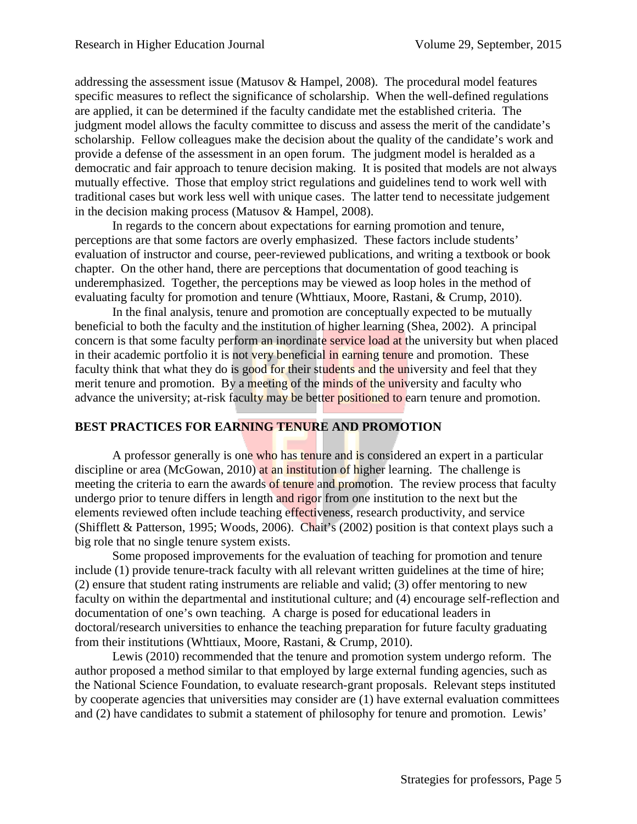addressing the assessment issue (Matusov & Hampel, 2008). The procedural model features specific measures to reflect the significance of scholarship. When the well-defined regulations are applied, it can be determined if the faculty candidate met the established criteria. The judgment model allows the faculty committee to discuss and assess the merit of the candidate's scholarship. Fellow colleagues make the decision about the quality of the candidate's work and provide a defense of the assessment in an open forum. The judgment model is heralded as a democratic and fair approach to tenure decision making. It is posited that models are not always mutually effective. Those that employ strict regulations and guidelines tend to work well with traditional cases but work less well with unique cases. The latter tend to necessitate judgement in the decision making process (Matusov & Hampel, 2008).

In regards to the concern about expectations for earning promotion and tenure, perceptions are that some factors are overly emphasized. These factors include students' evaluation of instructor and course, peer-reviewed publications, and writing a textbook or book chapter. On the other hand, there are perceptions that documentation of good teaching is underemphasized. Together, the perceptions may be viewed as loop holes in the method of evaluating faculty for promotion and tenure (Whttiaux, Moore, Rastani, & Crump, 2010).

In the final analysis, tenure and promotion are conceptually expected to be mutually beneficial to both the faculty and the institution of higher learning (Shea, 2002). A principal concern is that some faculty perform an inordinate service load at the university but when placed in their academic portfolio it is not very beneficial in earning tenure and promotion. These faculty think that what they do is good for their students and the university and feel that they merit tenure and promotion. By a meeting of the minds of the university and faculty who advance the university; at-risk faculty may be better positioned to earn tenure and promotion.

## **BEST PRACTICES FOR EARNING TENURE AND PROMOTION**

A professor generally is one who has tenure and is considered an expert in a particular discipline or area (McGowan, 2010) at an institution of higher learning. The challenge is meeting the criteria to earn the awards of tenure and promotion. The review process that faculty undergo prior to tenure differs in length and rigor from one institution to the next but the elements reviewed often include teaching effectiveness, research productivity, and service (Shifflett & Patterson, 1995; Woods, 2006). Chait's (2002) position is that context plays such a big role that no single tenure system exists.

Some proposed improvements for the evaluation of teaching for promotion and tenure include (1) provide tenure-track faculty with all relevant written guidelines at the time of hire; (2) ensure that student rating instruments are reliable and valid; (3) offer mentoring to new faculty on within the departmental and institutional culture; and (4) encourage self-reflection and documentation of one's own teaching. A charge is posed for educational leaders in doctoral/research universities to enhance the teaching preparation for future faculty graduating from their institutions (Whttiaux, Moore, Rastani, & Crump, 2010).

Lewis (2010) recommended that the tenure and promotion system undergo reform. The author proposed a method similar to that employed by large external funding agencies, such as the National Science Foundation, to evaluate research-grant proposals. Relevant steps instituted by cooperate agencies that universities may consider are (1) have external evaluation committees and (2) have candidates to submit a statement of philosophy for tenure and promotion. Lewis'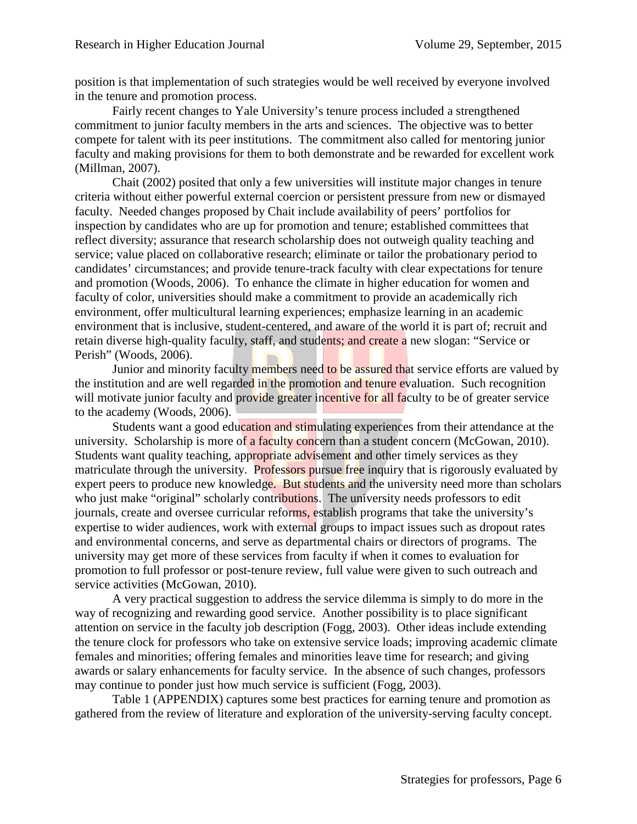position is that implementation of such strategies would be well received by everyone involved in the tenure and promotion process.

Fairly recent changes to Yale University's tenure process included a strengthened commitment to junior faculty members in the arts and sciences. The objective was to better compete for talent with its peer institutions. The commitment also called for mentoring junior faculty and making provisions for them to both demonstrate and be rewarded for excellent work (Millman, 2007).

Chait (2002) posited that only a few universities will institute major changes in tenure criteria without either powerful external coercion or persistent pressure from new or dismayed faculty. Needed changes proposed by Chait include availability of peers' portfolios for inspection by candidates who are up for promotion and tenure; established committees that reflect diversity; assurance that research scholarship does not outweigh quality teaching and service; value placed on collaborative research; eliminate or tailor the probationary period to candidates' circumstances; and provide tenure-track faculty with clear expectations for tenure and promotion (Woods, 2006). To enhance the climate in higher education for women and faculty of color, universities should make a commitment to provide an academically rich environment, offer multicultural learning experiences; emphasize learning in an academic environment that is inclusive, student-centered, and aware of the world it is part of; recruit and retain diverse high-quality faculty, staff, and students; and create a new slogan: "Service or Perish" (Woods, 2006).

Junior and minority faculty members need to be assured that service efforts are valued by the institution and are well regarded in the promotion and tenure evaluation. Such recognition will motivate junior faculty and provide greater incentive for all faculty to be of greater service to the academy (Woods, 2006).

Students want a good education and stimulating experiences from their attendance at the university. Scholarship is more of a faculty concern than a student concern (McGowan, 2010). Students want quality teaching, appropriate advisement and other timely services as they matriculate through the university. Professors pursue free inquiry that is rigorously evaluated by expert peers to produce new knowledge. But students and the university need more than scholars who just make "original" scholarly contributions. The university needs professors to edit journals, create and oversee curricular reforms, establish programs that take the university's expertise to wider audiences, work with external groups to impact issues such as dropout rates and environmental concerns, and serve as departmental chairs or directors of programs. The university may get more of these services from faculty if when it comes to evaluation for promotion to full professor or post-tenure review, full value were given to such outreach and service activities (McGowan, 2010).

A very practical suggestion to address the service dilemma is simply to do more in the way of recognizing and rewarding good service. Another possibility is to place significant attention on service in the faculty job description (Fogg, 2003). Other ideas include extending the tenure clock for professors who take on extensive service loads; improving academic climate females and minorities; offering females and minorities leave time for research; and giving awards or salary enhancements for faculty service. In the absence of such changes, professors may continue to ponder just how much service is sufficient (Fogg, 2003).

Table 1 (APPENDIX) captures some best practices for earning tenure and promotion as gathered from the review of literature and exploration of the university-serving faculty concept.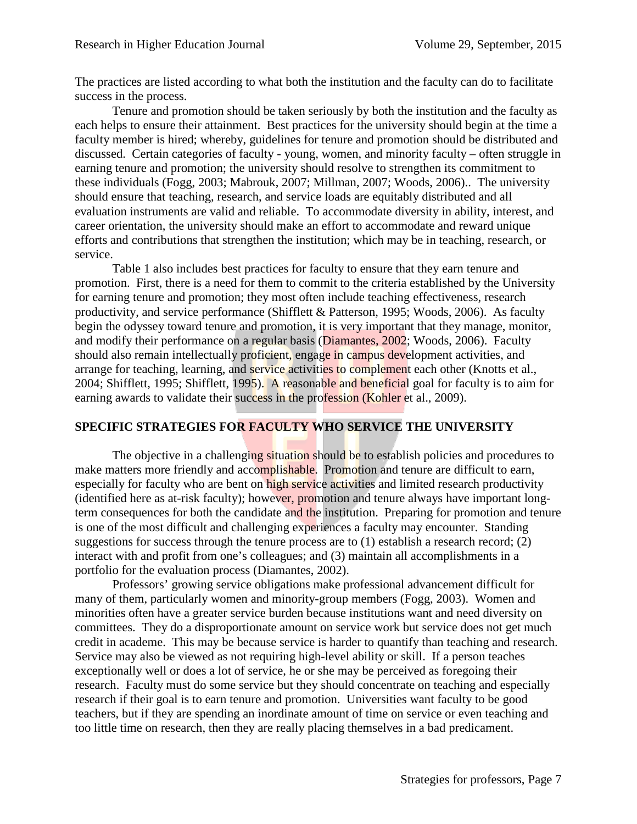The practices are listed according to what both the institution and the faculty can do to facilitate success in the process.

Tenure and promotion should be taken seriously by both the institution and the faculty as each helps to ensure their attainment. Best practices for the university should begin at the time a faculty member is hired; whereby, guidelines for tenure and promotion should be distributed and discussed. Certain categories of faculty - young, women, and minority faculty – often struggle in earning tenure and promotion; the university should resolve to strengthen its commitment to these individuals (Fogg, 2003; Mabrouk, 2007; Millman, 2007; Woods, 2006).. The university should ensure that teaching, research, and service loads are equitably distributed and all evaluation instruments are valid and reliable. To accommodate diversity in ability, interest, and career orientation, the university should make an effort to accommodate and reward unique efforts and contributions that strengthen the institution; which may be in teaching, research, or service.

Table 1 also includes best practices for faculty to ensure that they earn tenure and promotion. First, there is a need for them to commit to the criteria established by the University for earning tenure and promotion; they most often include teaching effectiveness, research productivity, and service performance (Shifflett & Patterson, 1995; Woods, 2006). As faculty begin the odyssey toward tenure and promotion, it is very important that they manage, monitor, and modify their performance on a regular basis (Diamantes, 2002; Woods, 2006). Faculty should also remain intellectually proficient, engage in campus development activities, and arrange for teaching, learning, and service activities to complement each other (Knotts et al., 2004; Shifflett, 1995; Shifflett, 1995). A reasonable and beneficial goal for faculty is to aim for earning awards to validate their success in the profession (Kohler et al., 2009).

## **SPECIFIC STRATEGIES FOR FACULTY WHO SERVICE THE UNIVERSITY**

The objective in a challenging situation should be to establish policies and procedures to make matters more friendly and accomplishable. Promotion and tenure are difficult to earn, especially for faculty who are bent on high service activities and limited research productivity (identified here as at-risk faculty); however, promotion and tenure always have important longterm consequences for both the candidate and the institution. Preparing for promotion and tenure is one of the most difficult and challenging experiences a faculty may encounter. Standing suggestions for success through the tenure process are to (1) establish a research record; (2) interact with and profit from one's colleagues; and (3) maintain all accomplishments in a portfolio for the evaluation process (Diamantes, 2002).

Professors' growing service obligations make professional advancement difficult for many of them, particularly women and minority-group members (Fogg, 2003). Women and minorities often have a greater service burden because institutions want and need diversity on committees. They do a disproportionate amount on service work but service does not get much credit in academe. This may be because service is harder to quantify than teaching and research. Service may also be viewed as not requiring high-level ability or skill. If a person teaches exceptionally well or does a lot of service, he or she may be perceived as foregoing their research. Faculty must do some service but they should concentrate on teaching and especially research if their goal is to earn tenure and promotion. Universities want faculty to be good teachers, but if they are spending an inordinate amount of time on service or even teaching and too little time on research, then they are really placing themselves in a bad predicament.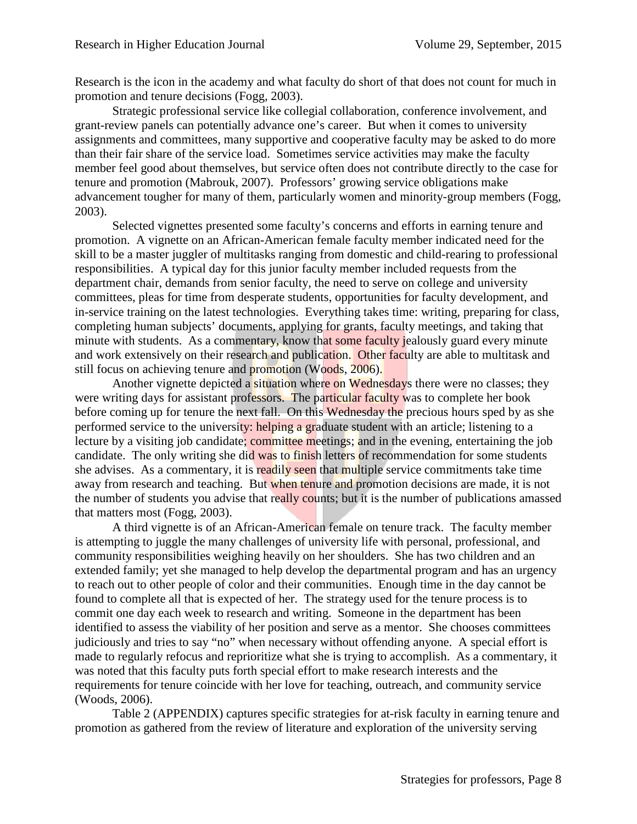Research is the icon in the academy and what faculty do short of that does not count for much in promotion and tenure decisions (Fogg, 2003).

Strategic professional service like collegial collaboration, conference involvement, and grant-review panels can potentially advance one's career. But when it comes to university assignments and committees, many supportive and cooperative faculty may be asked to do more than their fair share of the service load. Sometimes service activities may make the faculty member feel good about themselves, but service often does not contribute directly to the case for tenure and promotion (Mabrouk, 2007). Professors' growing service obligations make advancement tougher for many of them, particularly women and minority-group members (Fogg, 2003).

Selected vignettes presented some faculty's concerns and efforts in earning tenure and promotion. A vignette on an African-American female faculty member indicated need for the skill to be a master juggler of multitasks ranging from domestic and child-rearing to professional responsibilities. A typical day for this junior faculty member included requests from the department chair, demands from senior faculty, the need to serve on college and university committees, pleas for time from desperate students, opportunities for faculty development, and in-service training on the latest technologies. Everything takes time: writing, preparing for class, completing human subjects' documents, applying for grants, faculty meetings, and taking that minute with students. As a commentary, know that some faculty jealously guard every minute and work extensively on their research and publication. Other faculty are able to multitask and still focus on achieving tenure and promotion (Woods, 2006).

Another vignette depicted a situation where on Wednesdays there were no classes; they were writing days for assistant professors. The particular faculty was to complete her book before coming up for tenure the next fall. On this Wednesday the precious hours sped by as she performed service to the university: helping a graduate student with an article; listening to a lecture by a visiting job candidate; committee meetings; and in the evening, entertaining the job candidate. The only writing she did was to finish letters of recommendation for some students she advises. As a commentary, it is readily seen that multiple service commitments take time away from research and teaching. But when tenure and promotion decisions are made, it is not the number of students you advise that really counts; but it is the number of publications amassed that matters most (Fogg, 2003).

A third vignette is of an African-American female on tenure track. The faculty member is attempting to juggle the many challenges of university life with personal, professional, and community responsibilities weighing heavily on her shoulders. She has two children and an extended family; yet she managed to help develop the departmental program and has an urgency to reach out to other people of color and their communities. Enough time in the day cannot be found to complete all that is expected of her. The strategy used for the tenure process is to commit one day each week to research and writing. Someone in the department has been identified to assess the viability of her position and serve as a mentor. She chooses committees judiciously and tries to say "no" when necessary without offending anyone. A special effort is made to regularly refocus and reprioritize what she is trying to accomplish. As a commentary, it was noted that this faculty puts forth special effort to make research interests and the requirements for tenure coincide with her love for teaching, outreach, and community service (Woods, 2006).

Table 2 (APPENDIX) captures specific strategies for at-risk faculty in earning tenure and promotion as gathered from the review of literature and exploration of the university serving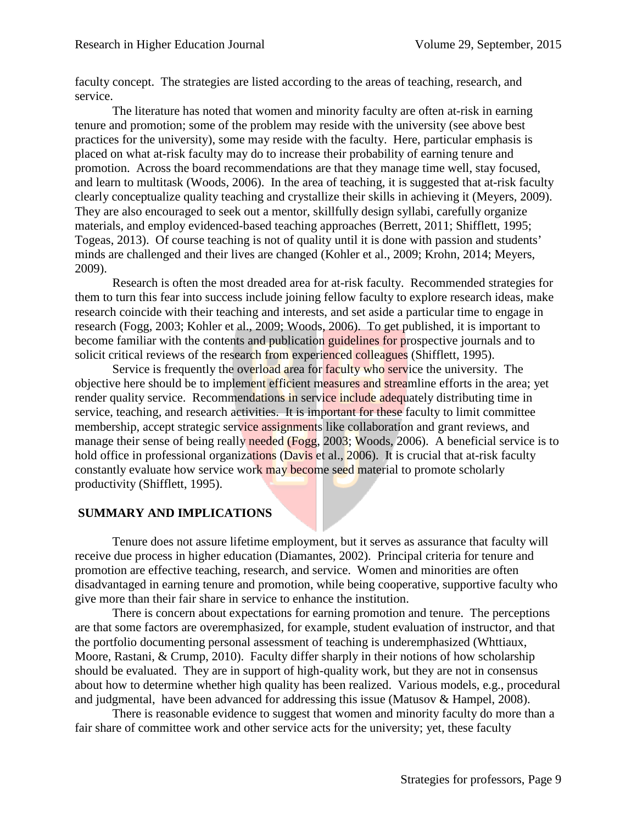faculty concept. The strategies are listed according to the areas of teaching, research, and service.

The literature has noted that women and minority faculty are often at-risk in earning tenure and promotion; some of the problem may reside with the university (see above best practices for the university), some may reside with the faculty. Here, particular emphasis is placed on what at-risk faculty may do to increase their probability of earning tenure and promotion. Across the board recommendations are that they manage time well, stay focused, and learn to multitask (Woods, 2006). In the area of teaching, it is suggested that at-risk faculty clearly conceptualize quality teaching and crystallize their skills in achieving it (Meyers, 2009). They are also encouraged to seek out a mentor, skillfully design syllabi, carefully organize materials, and employ evidenced-based teaching approaches (Berrett, 2011; Shifflett, 1995; Togeas, 2013). Of course teaching is not of quality until it is done with passion and students' minds are challenged and their lives are changed (Kohler et al., 2009; Krohn, 2014; Meyers, 2009).

Research is often the most dreaded area for at-risk faculty. Recommended strategies for them to turn this fear into success include joining fellow faculty to explore research ideas, make research coincide with their teaching and interests, and set aside a particular time to engage in research (Fogg, 2003; Kohler et al., 2009; Woods, 2006). To get published, it is important to become familiar with the contents and publication guidelines for prospective journals and to solicit critical reviews of the research from experienced colleagues (Shifflett, 1995).

Service is frequently the overload area for faculty who service the university. The objective here should be to implement efficient measures and streamline efforts in the area; yet render quality service. Recommendations in service include adequately distributing time in service, teaching, and research activities. It is important for these faculty to limit committee membership, accept strategic service assignments like collaboration and grant reviews, and manage their sense of being really needed (Fogg, 2003; Woods, 2006). A beneficial service is to hold office in professional organizations (Davis et al., 2006). It is crucial that at-risk faculty constantly evaluate how service work may become seed material to promote scholarly productivity (Shifflett, 1995).

## **SUMMARY AND IMPLICATIONS**

Tenure does not assure lifetime employment, but it serves as assurance that faculty will receive due process in higher education (Diamantes, 2002). Principal criteria for tenure and promotion are effective teaching, research, and service. Women and minorities are often disadvantaged in earning tenure and promotion, while being cooperative, supportive faculty who give more than their fair share in service to enhance the institution.

There is concern about expectations for earning promotion and tenure. The perceptions are that some factors are overemphasized, for example, student evaluation of instructor, and that the portfolio documenting personal assessment of teaching is underemphasized (Whttiaux, Moore, Rastani, & Crump, 2010). Faculty differ sharply in their notions of how scholarship should be evaluated. They are in support of high-quality work, but they are not in consensus about how to determine whether high quality has been realized. Various models, e.g., procedural and judgmental, have been advanced for addressing this issue (Matusov & Hampel, 2008).

There is reasonable evidence to suggest that women and minority faculty do more than a fair share of committee work and other service acts for the university; yet, these faculty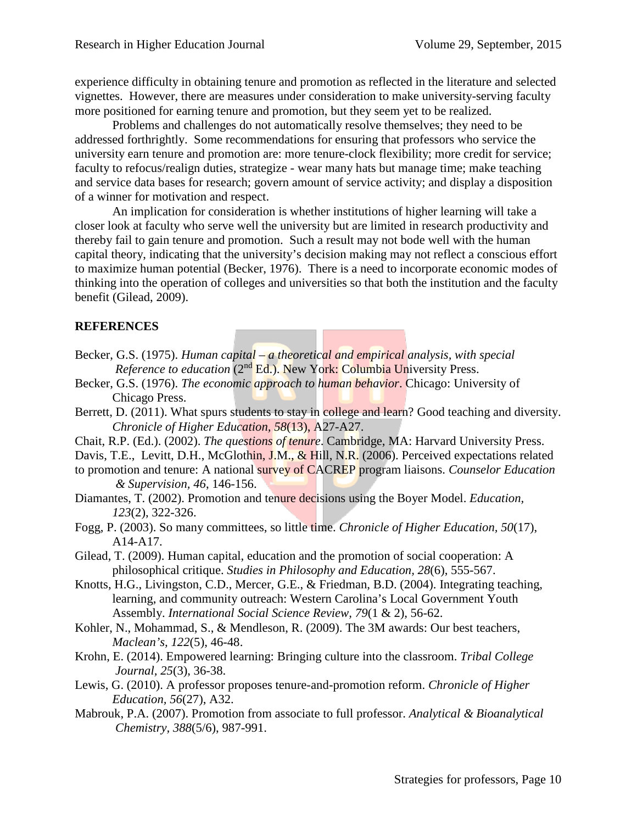experience difficulty in obtaining tenure and promotion as reflected in the literature and selected vignettes. However, there are measures under consideration to make university-serving faculty more positioned for earning tenure and promotion, but they seem yet to be realized.

Problems and challenges do not automatically resolve themselves; they need to be addressed forthrightly. Some recommendations for ensuring that professors who service the university earn tenure and promotion are: more tenure-clock flexibility; more credit for service; faculty to refocus/realign duties, strategize - wear many hats but manage time; make teaching and service data bases for research; govern amount of service activity; and display a disposition of a winner for motivation and respect.

An implication for consideration is whether institutions of higher learning will take a closer look at faculty who serve well the university but are limited in research productivity and thereby fail to gain tenure and promotion. Such a result may not bode well with the human capital theory, indicating that the university's decision making may not reflect a conscious effort to maximize human potential (Becker, 1976). There is a need to incorporate economic modes of thinking into the operation of colleges and universities so that both the institution and the faculty benefit (Gilead, 2009).

## **REFERENCES**

- Becker, G.S. (1975). *Human capital – a theoretical and empirical analysis, with special Reference to education* (2nd Ed.). New York: Columbia University Press.
- Becker, G.S. (1976). *The economic approach to human behavior*. Chicago: University of Chicago Press.
- Berrett, D. (2011). What spurs students to stay in college and learn? Good teaching and diversity. *Chronicle of Higher Education, 58*(13), A27-A27.
- Chait, R.P. (Ed.). (2002). *The questions of tenure*. Cambridge, MA: Harvard University Press.
- Davis, T.E., Levitt, D.H., McGlothin, J.M., & Hill, N.R. (2006). Perceived expectations related

to promotion and tenure: A national survey of CACREP program liaisons. *Counselor Education & Supervision, 46*, 146-156.

- Diamantes, T. (2002). Promotion and tenure decisions using the Boyer Model. *Education, 123*(2), 322-326.
- Fogg, P. (2003). So many committees, so little time. *Chronicle of Higher Education, 50*(17), A14-A17.
- Gilead, T. (2009). Human capital, education and the promotion of social cooperation: A philosophical critique. *Studies in Philosophy and Education, 28*(6), 555-567.
- Knotts, H.G., Livingston, C.D., Mercer, G.E., & Friedman, B.D. (2004). Integrating teaching, learning, and community outreach: Western Carolina's Local Government Youth Assembly. *International Social Science Review, 79*(1 & 2), 56-62.
- Kohler, N., Mohammad, S., & Mendleson, R. (2009). The 3M awards: Our best teachers, *Maclean's, 122*(5), 46-48.
- Krohn, E. (2014). Empowered learning: Bringing culture into the classroom. *Tribal College Journal, 25*(3), 36-38.
- Lewis, G. (2010). A professor proposes tenure-and-promotion reform. *Chronicle of Higher Education, 56*(27), A32.
- Mabrouk, P.A. (2007). Promotion from associate to full professor. *Analytical & Bioanalytical Chemistry, 388*(5/6), 987-991.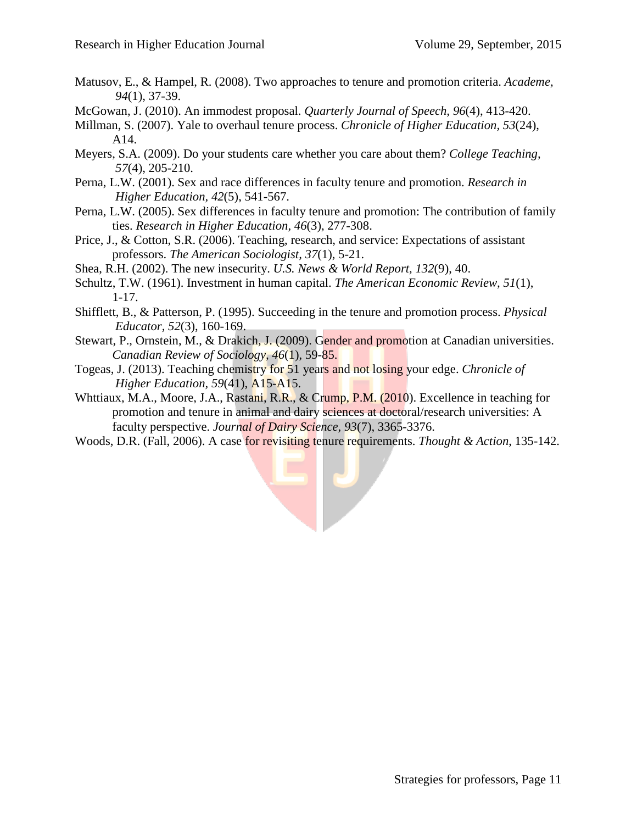- Matusov, E., & Hampel, R. (2008). Two approaches to tenure and promotion criteria. *Academe, 94*(1), 37-39.
- McGowan, J. (2010). An immodest proposal. *Quarterly Journal of Speech, 96*(4), 413-420.
- Millman, S. (2007). Yale to overhaul tenure process. *Chronicle of Higher Education, 53*(24), A14.
- Meyers, S.A. (2009). Do your students care whether you care about them? *College Teaching, 57*(4), 205-210.
- Perna, L.W. (2001). Sex and race differences in faculty tenure and promotion. *Research in Higher Education, 42*(5), 541-567.
- Perna, L.W. (2005). Sex differences in faculty tenure and promotion: The contribution of family ties. *Research in Higher Education, 46*(3), 277-308.
- Price, J., & Cotton, S.R. (2006). Teaching, research, and service: Expectations of assistant professors. *The American Sociologist, 37*(1), 5-21.
- Shea, R.H. (2002). The new insecurity. *U.S. News & World Report, 132*(9), 40.
- Schultz, T.W. (1961). Investment in human capital. *The American Economic Review, 51*(1), 1-17.
- Shifflett, B., & Patterson, P. (1995). Succeeding in the tenure and promotion process. *Physical Educator, 52*(3), 160-169.
- Stewart, P., Ornstein, M., & Drakich, J. (2009). Gender and promotion at Canadian universities. *Canadian Review of Sociology, 46*(1), 59-85.
- Togeas, J. (2013). Teaching chemistry for 51 years and not losing your edge. *Chronicle of Higher Education, 59*(41), A15-A15.
- Whttiaux, M.A., Moore, J.A., Rastani, R.R., & Crump, P.M. (2010). Excellence in teaching for promotion and tenure in animal and dairy sciences at doctoral/research universities: A faculty perspective. *Journal of Dairy Science, 93*(7), 3365-3376.
- Woods, D.R. (Fall, 2006). A case for revisiting tenure requirements. *Thought & Action*, 135-142.

F P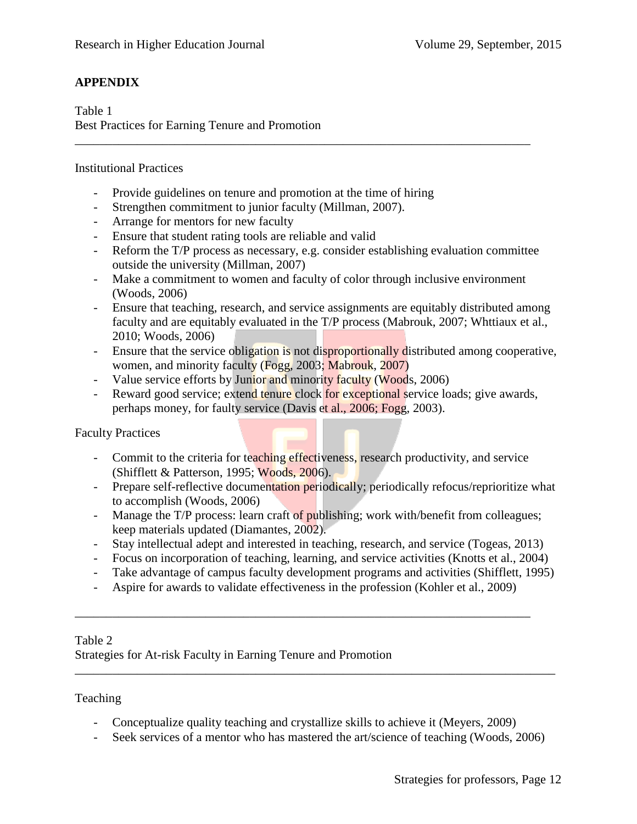# **APPENDIX**

Table 1 Best Practices for Earning Tenure and Promotion

### Institutional Practices

- Provide guidelines on tenure and promotion at the time of hiring
- Strengthen commitment to junior faculty (Millman, 2007).
- Arrange for mentors for new faculty
- Ensure that student rating tools are reliable and valid
- Reform the T/P process as necessary, e.g. consider establishing evaluation committee outside the university (Millman, 2007)
- Make a commitment to women and faculty of color through inclusive environment (Woods, 2006)

\_\_\_\_\_\_\_\_\_\_\_\_\_\_\_\_\_\_\_\_\_\_\_\_\_\_\_\_\_\_\_\_\_\_\_\_\_\_\_\_\_\_\_\_\_\_\_\_\_\_\_\_\_\_\_\_\_\_\_\_\_\_\_\_\_\_\_\_\_\_\_\_\_

- Ensure that teaching, research, and service assignments are equitably distributed among faculty and are equitably evaluated in the T/P process (Mabrouk, 2007; Whttiaux et al., 2010; Woods, 2006)
- Ensure that the service obligation is not disproportionally distributed among cooperative, women, and minority faculty (Fogg, 2003; Mabrouk, 2007)
- Value service efforts by Junior and minority faculty (Woods, 2006)
- Reward good service; extend tenure clock for exceptional service loads; give awards, perhaps money, for faulty service (Davis et al., 2006; Fogg, 2003).

Faculty Practices

- Commit to the criteria for teaching effectiveness, research productivity, and service (Shifflett & Patterson, 1995; Woods, 2006).
- Prepare self-reflective documentation periodically; periodically refocus/reprioritize what to accomplish (Woods, 2006)
- Manage the T/P process: learn craft of publishing; work with/benefit from colleagues; keep materials updated (Diamantes, 2002).
- Stay intellectual adept and interested in teaching, research, and service (Togeas, 2013)
- Focus on incorporation of teaching, learning, and service activities (Knotts et al., 2004)
- Take advantage of campus faculty development programs and activities (Shifflett, 1995)
- Aspire for awards to validate effectiveness in the profession (Kohler et al., 2009)

\_\_\_\_\_\_\_\_\_\_\_\_\_\_\_\_\_\_\_\_\_\_\_\_\_\_\_\_\_\_\_\_\_\_\_\_\_\_\_\_\_\_\_\_\_\_\_\_\_\_\_\_\_\_\_\_\_\_\_\_\_\_\_\_\_\_\_\_\_\_\_\_\_

#### Table 2

Strategies for At-risk Faculty in Earning Tenure and Promotion

#### Teaching

- Conceptualize quality teaching and crystallize skills to achieve it (Meyers, 2009)
- Seek services of a mentor who has mastered the art/science of teaching (Woods, 2006)

\_\_\_\_\_\_\_\_\_\_\_\_\_\_\_\_\_\_\_\_\_\_\_\_\_\_\_\_\_\_\_\_\_\_\_\_\_\_\_\_\_\_\_\_\_\_\_\_\_\_\_\_\_\_\_\_\_\_\_\_\_\_\_\_\_\_\_\_\_\_\_\_\_\_\_\_\_